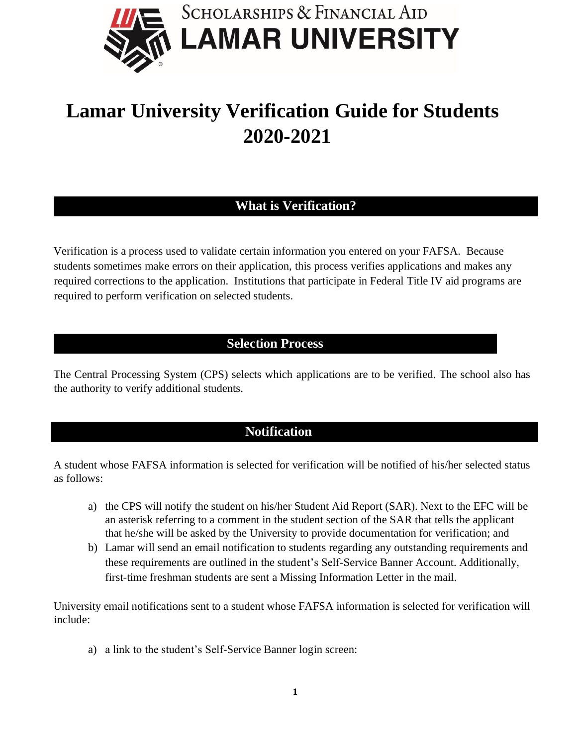

# **Lamar University Verification Guide for Students 2020-2021**

# **What is Verification?**

Verification is a process used to validate certain information you entered on your FAFSA. Because students sometimes make errors on their application, this process verifies applications and makes any required corrections to the application. Institutions that participate in Federal Title IV aid programs are required to perform verification on selected students.

# **Selection Process**

The Central Processing System (CPS) selects which applications are to be verified. The school also has the authority to verify additional students.

# **Notification**

A student whose FAFSA information is selected for verification will be notified of his/her selected status as follows:

- a) the CPS will notify the student on his/her Student Aid Report (SAR). Next to the EFC will be an asterisk referring to a comment in the student section of the SAR that tells the applicant that he/she will be asked by the University to provide documentation for verification; and
- b) Lamar will send an email notification to students regarding any outstanding requirements and these requirements are outlined in the student's Self-Service Banner Account. Additionally, first-time freshman students are sent a Missing Information Letter in the mail.

University email notifications sent to a student whose FAFSA information is selected for verification will include:

a) a link to the student's Self-Service Banner login screen: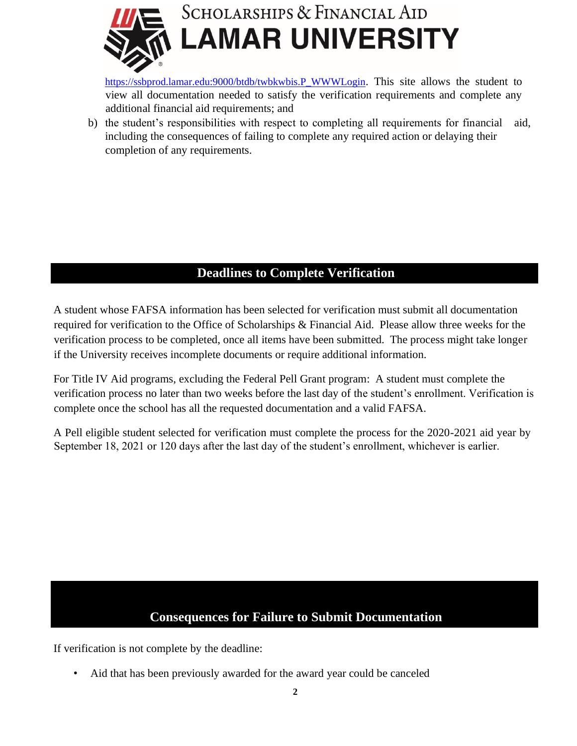

[https://ssbprod.lamar.edu:9000/btdb/twbkwbis.P\\_WWWLogin](https://ssbprod.lamar.edu:9000/btdb/twbkwbis.P_WWWLogin)[.](https://ssbprod.lamar.edu:9000/btdb/twbkwbis.P_WWWLogin) This site allows the student to view all documentation needed to satisfy the verification requirements and complete any additional financial aid requirements; and

b) the student's responsibilities with respect to completing all requirements for financial aid, including the consequences of failing to complete any required action or delaying their completion of any requirements.

# **Deadlines to Complete Verification**

A student whose FAFSA information has been selected for verification must submit all documentation required for verification to the Office of Scholarships & Financial Aid. Please allow three weeks for the verification process to be completed, once all items have been submitted. The process might take longer if the University receives incomplete documents or require additional information.

For Title IV Aid programs, excluding the Federal Pell Grant program: A student must complete the verification process no later than two weeks before the last day of the student's enrollment. Verification is complete once the school has all the requested documentation and a valid FAFSA.

A Pell eligible student selected for verification must complete the process for the 2020-2021 aid year by September 18, 2021 or 120 days after the last day of the student's enrollment, whichever is earlier.

# **Consequences for Failure to Submit Documentation**

If verification is not complete by the deadline:

• Aid that has been previously awarded for the award year could be canceled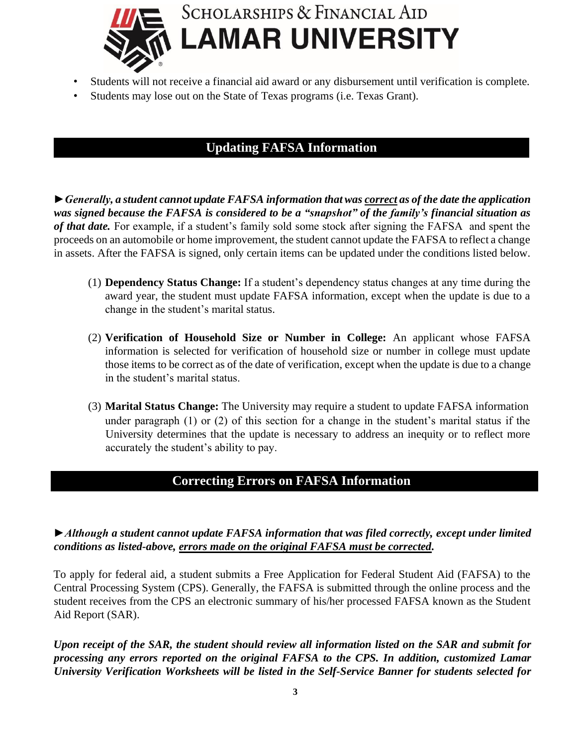

- Students will not receive a financial aid award or any disbursement until verification is complete.
- Students may lose out on the State of Texas programs (i.e. Texas Grant).

## **Updating FAFSA Information**

*►Generally, a student cannot update FAFSA information that was correct as of the date the application was signed because the FAFSA is considered to be a "snapshot" of the family's financial situation as of that date.* For example, if a student's family sold some stock after signing the FAFSA and spent the proceeds on an automobile or home improvement, the student cannot update the FAFSA to reflect a change in assets. After the FAFSA is signed, only certain items can be updated under the conditions listed below.

- (1) **Dependency Status Change:** If a student's dependency status changes at any time during the award year, the student must update FAFSA information, except when the update is due to a change in the student's marital status.
- (2) **Verification of Household Size or Number in College:** An applicant whose FAFSA information is selected for verification of household size or number in college must update those items to be correct as of the date of verification, except when the update is due to a change in the student's marital status.
- (3) **Marital Status Change:** The University may require a student to update FAFSA information under paragraph (1) or (2) of this section for a change in the student's marital status if the University determines that the update is necessary to address an inequity or to reflect more accurately the student's ability to pay.

## **Correcting Errors on FAFSA Information**

#### *►Although a student cannot update FAFSA information that was filed correctly, except under limited conditions as listed-above, errors made on the original FAFSA must be corrected.*

To apply for federal aid, a student submits a Free Application for Federal Student Aid (FAFSA) to the Central Processing System (CPS). Generally, the FAFSA is submitted through the online process and the student receives from the CPS an electronic summary of his/her processed FAFSA known as the Student Aid Report (SAR).

Upon receipt of the SAR, the student should review all information listed on the SAR and submit for *processing any errors reported on the original FAFSA to the CPS. In addition, customized Lamar University Verification Worksheets will be listed in the Self-Service Banner for students selected for*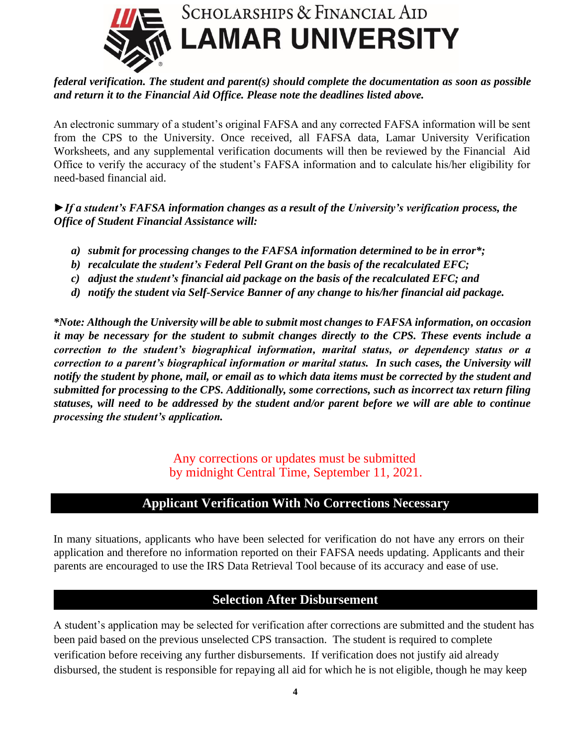

#### *federal verification. The student and parent(s) should complete the documentation as soon as possible and return it to the Financial Aid Office. Please note the deadlines listed above.*

An electronic summary of a student's original FAFSA and any corrected FAFSA information will be sent from the CPS to the University. Once received, all FAFSA data, Lamar University Verification Worksheets, and any supplemental verification documents will then be reviewed by the Financial Aid Office to verify the accuracy of the student's FAFSA information and to calculate his/her eligibility for need-based financial aid.

*►If a student's FAFSA information changes as a result of the University's verification process, the Office of Student Financial Assistance will:*

- *a) submit for processing changes to the FAFSA information determined to be in error\*;*
- *b) recalculate the student's Federal Pell Grant on the basis of the recalculated EFC;*
- *c) adjust the student's financial aid package on the basis of the recalculated EFC; and*
- *d) notify the student via Self-Service Banner of any change to his/her financial aid package.*

*\*Note: Although the University will be able to submit most changes to FAFSA information, on occasion it may be necessary for the student to submit changes directly to the CPS. These events include a correction to the student's biographical information, marital status, or dependency status or a correction to a parent's biographical information or marital status. In such cases, the University will notify the student by phone, mail, or email as to which data items must be corrected by the student and submitted for processing to the CPS. Additionally, some corrections, such as incorrect tax return filing statuses, will need to be addressed by the student and/or parent before we will are able to continue processing the student's application.* 

> Any corrections or updates must be submitted by midnight Central Time, September 11, 2021.

## **Applicant Verification With No Corrections Necessary**

In many situations, applicants who have been selected for verification do not have any errors on their application and therefore no information reported on their FAFSA needs updating. Applicants and their parents are encouraged to use the IRS Data Retrieval Tool because of its accuracy and ease of use.

#### **Selection After Disbursement**

A student's application may be selected for verification after corrections are submitted and the student has been paid based on the previous unselected CPS transaction. The student is required to complete verification before receiving any further disbursements. If verification does not justify aid already disbursed, the student is responsible for repaying all aid for which he is not eligible, though he may keep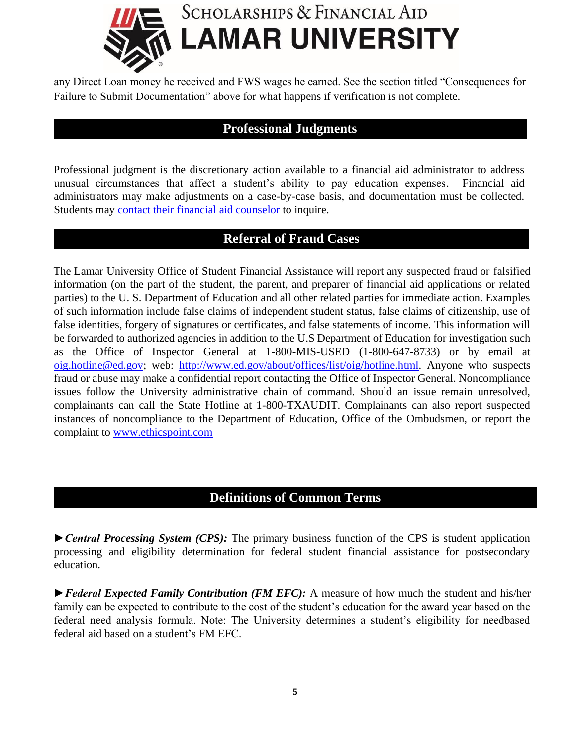

any Direct Loan money he received and FWS wages he earned. See the section titled "Consequences for Failure to Submit Documentation" above for what happens if verification is not complete.

### **Professional Judgments**

Professional judgment is the discretionary action available to a financial aid administrator to address unusual circumstances that affect a student's ability to pay education expenses. Financial aid administrators may make adjustments on a case-by-case basis, and documentation must be collected. Students may [contact their financial aid counselor](https://www.lamar.edu/forms/scholarships-and-financial-aid/contact-form.html) [t](https://www.lamar.edu/forms/scholarships-and-financial-aid/contact-form.html)o inquire.

#### **Referral of Fraud Cases**

The Lamar University Office of Student Financial Assistance will report any suspected fraud or falsified information (on the part of the student, the parent, and preparer of financial aid applications or related parties) to the U. S. Department of Education and all other related parties for immediate action. Examples of such information include false claims of independent student status, false claims of citizenship, use of false identities, forgery of signatures or certificates, and false statements of income. This information will be forwarded to authorized agencies in addition to the U.S Department of Education for investigation such as the Office of Inspector General at 1-800-MIS-USED (1-800-647-8733) or by email at oig.hotline@ed.gov; web: [http://www.ed.gov/about/offices/list/oig/hotline.html.](http://www.ed.gov/about/offices/list/oig/hotline.html) Anyone who suspects fraud or abuse may make a confidential report contacting the Office of Inspector General. Noncompliance issues follow the University administrative chain of command. Should an issue remain unresolved, complainants can call the State Hotline at 1-800-TXAUDIT. Complainants can also report suspected instances of noncompliance to the Department of Education, Office of the Ombudsmen, or report the complaint to [www.ethicspoint.com](http://www.ethicspoint.com/)

## **Definitions of Common Terms**

*►Central Processing System (CPS):* The primary business function of the CPS is student application processing and eligibility determination for federal student financial assistance for postsecondary education.

*►Federal Expected Family Contribution (FM EFC):* A measure of how much the student and his/her family can be expected to contribute to the cost of the student's education for the award year based on the federal need analysis formula. Note: The University determines a student's eligibility for needbased federal aid based on a student's FM EFC.